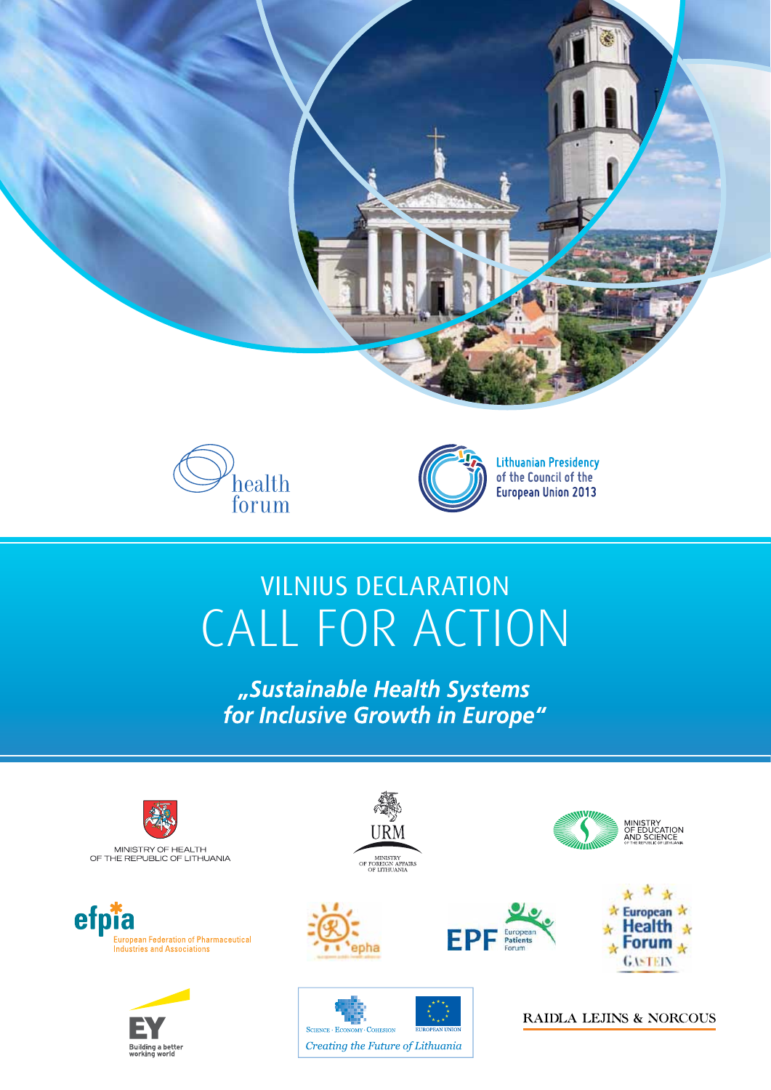





**Lithuanian Presidency** of the Council of the European Union 2013

# **VILNIUS DECLARATION** CALL FOR ACTION

"Sustainable Health Systems for Inclusive Growth in Europe"



efpia **European Federation of Pharmaceutical<br>Industries and Associations** 







SCIENCE - ECONOMY - COHESION

Creating the Future of Lithuania





MINISTRY<br>DF EDUCATION<br>AND SCIENCE

RAIDLA LEJINS & NORCOUS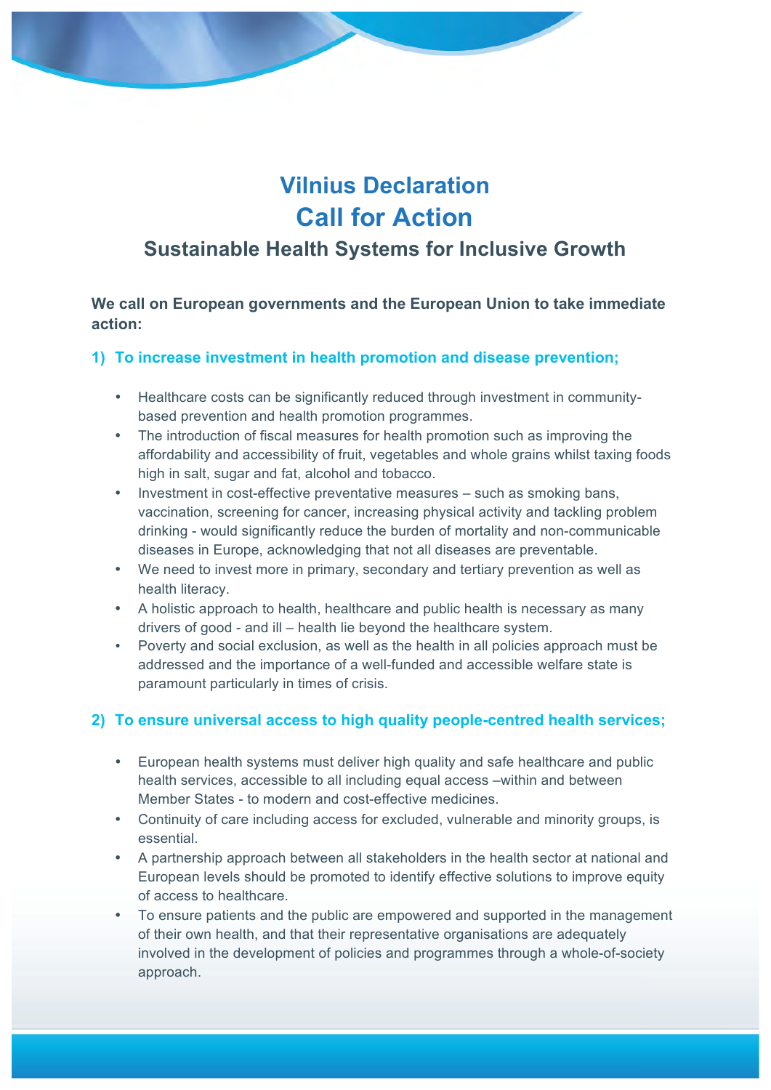# **Vilnius Declaration Call for Action**

## **Sustainable Health Systems for Inclusive Growth**

**We call on European governments and the European Union to take immediate action:**

#### **1) To increase investment in health promotion and disease prevention;**

- Healthcare costs can be significantly reduced through investment in communitybased prevention and health promotion programmes.
- The introduction of fiscal measures for health promotion such as improving the affordability and accessibility of fruit, vegetables and whole grains whilst taxing foods high in salt, sugar and fat, alcohol and tobacco.
- Investment in cost-effective preventative measures such as smoking bans, vaccination, screening for cancer, increasing physical activity and tackling problem drinking - would significantly reduce the burden of mortality and non-communicable diseases in Europe, acknowledging that not all diseases are preventable.
- We need to invest more in primary, secondary and tertiary prevention as well as health literacy.
- A holistic approach to health, healthcare and public health is necessary as many drivers of good - and ill – health lie beyond the healthcare system.
- Poverty and social exclusion, as well as the health in all policies approach must be addressed and the importance of a well-funded and accessible welfare state is paramount particularly in times of crisis.

#### **2) To ensure universal access to high quality people-centred health services;**

- European health systems must deliver high quality and safe healthcare and public health services, accessible to all including equal access –within and between Member States - to modern and cost-effective medicines.
- Continuity of care including access for excluded, vulnerable and minority groups, is essential.
- A partnership approach between all stakeholders in the health sector at national and European levels should be promoted to identify effective solutions to improve equity of access to healthcare.
- To ensure patients and the public are empowered and supported in the management of their own health, and that their representative organisations are adequately involved in the development of policies and programmes through a whole-of-society approach.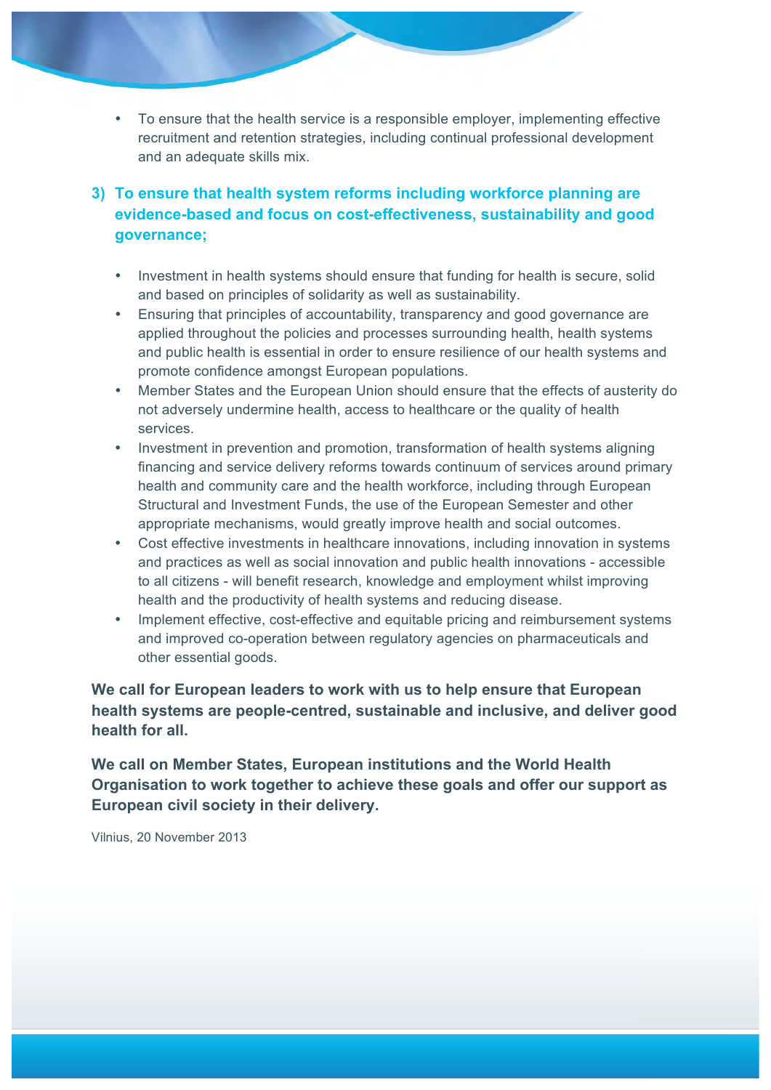• To ensure that the health service is a responsible employer, implementing effective recruitment and retention strategies, including continual professional development and an adequate skills mix.

#### **3) To ensure that health system reforms including workforce planning are evidence-based and focus on cost-effectiveness, sustainability and good governance;**

- Investment in health systems should ensure that funding for health is secure, solid and based on principles of solidarity as well as sustainability.
- Ensuring that principles of accountability, transparency and good governance are applied throughout the policies and processes surrounding health, health systems and public health is essential in order to ensure resilience of our health systems and promote confidence amongst European populations.
- Member States and the European Union should ensure that the effects of austerity do not adversely undermine health, access to healthcare or the quality of health services.
- Investment in prevention and promotion, transformation of health systems aligning financing and service delivery reforms towards continuum of services around primary health and community care and the health workforce, including through European Structural and Investment Funds, the use of the European Semester and other appropriate mechanisms, would greatly improve health and social outcomes.
- Cost effective investments in healthcare innovations, including innovation in systems and practices as well as social innovation and public health innovations - accessible to all citizens - will benefit research, knowledge and employment whilst improving health and the productivity of health systems and reducing disease.
- Implement effective, cost-effective and equitable pricing and reimbursement systems and improved co-operation between regulatory agencies on pharmaceuticals and other essential goods.

#### **We call for European leaders to work with us to help ensure that European health systems are people-centred, sustainable and inclusive, and deliver good health for all.**

**We call on Member States, European institutions and the World Health Organisation to work together to achieve these goals and offer our support as European civil society in their delivery.**

Vilnius, 20 November 2013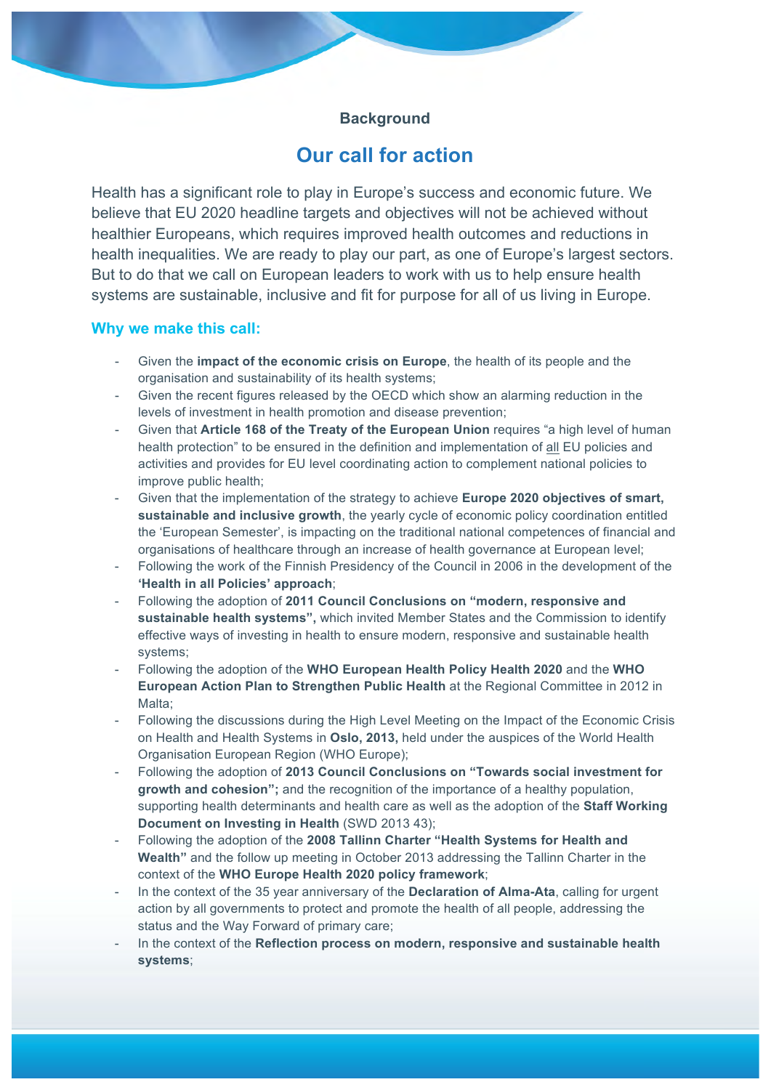#### **Background**

### **Our call for action**

Health has a significant role to play in Europe's success and economic future. We believe that EU 2020 headline targets and objectives will not be achieved without healthier Europeans, which requires improved health outcomes and reductions in health inequalities. We are ready to play our part, as one of Europe's largest sectors. But to do that we call on European leaders to work with us to help ensure health systems are sustainable, inclusive and fit for purpose for all of us living in Europe.

#### **Why we make this call:**

- Given the **impact of the economic crisis on Europe**, the health of its people and the organisation and sustainability of its health systems;
- Given the recent figures released by the OECD which show an alarming reduction in the levels of investment in health promotion and disease prevention;
- Given that **Article 168 of the Treaty of the European Union** requires "a high level of human health protection" to be ensured in the definition and implementation of all EU policies and activities and provides for EU level coordinating action to complement national policies to improve public health;
- Given that the implementation of the strategy to achieve **Europe 2020 objectives of smart, sustainable and inclusive growth**, the yearly cycle of economic policy coordination entitled the 'European Semester', is impacting on the traditional national competences of financial and organisations of healthcare through an increase of health governance at European level;
- Following the work of the Finnish Presidency of the Council in 2006 in the development of the **'Health in all Policies' approach**;
- Following the adoption of **2011 Council Conclusions on "modern, responsive and sustainable health systems",** which invited Member States and the Commission to identify effective ways of investing in health to ensure modern, responsive and sustainable health systems;
- Following the adoption of the **WHO European Health Policy Health 2020** and the **WHO European Action Plan to Strengthen Public Health** at the Regional Committee in 2012 in Malta;
- Following the discussions during the High Level Meeting on the Impact of the Economic Crisis on Health and Health Systems in **Oslo, 2013,** held under the auspices of the World Health Organisation European Region (WHO Europe);
- Following the adoption of **2013 Council Conclusions on "Towards social investment for growth and cohesion";** and the recognition of the importance of a healthy population, supporting health determinants and health care as well as the adoption of the **Staff Working Document on Investing in Health** (SWD 2013 43);
- Following the adoption of the **2008 Tallinn Charter "Health Systems for Health and Wealth"** and the follow up meeting in October 2013 addressing the Tallinn Charter in the context of the **WHO Europe Health 2020 policy framework**;
- In the context of the 35 year anniversary of the **Declaration of Alma-Ata**, calling for urgent action by all governments to protect and promote the health of all people, addressing the status and the Way Forward of primary care;
- In the context of the **Reflection process on modern, responsive and sustainable health systems**;